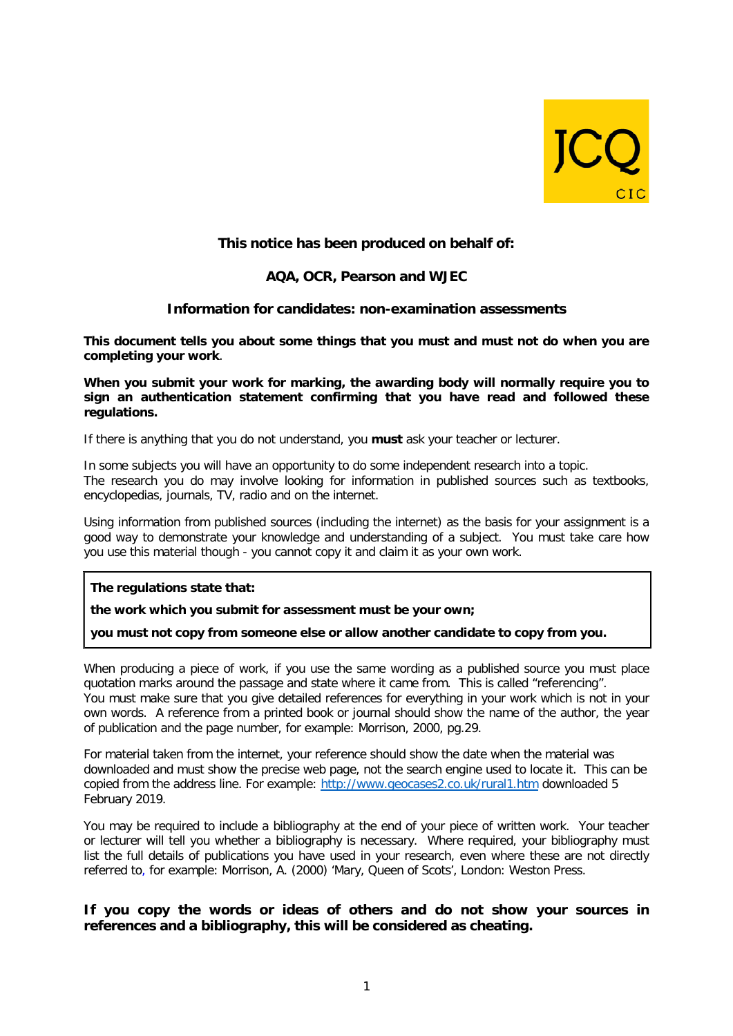

# **This notice has been produced on behalf of:**

## **AQA, OCR, Pearson and WJEC**

## **Information for candidates: non-examination assessments**

**This document tells you about some things that you must and must not do when you are completing your work**.

**When you submit your work for marking, the awarding body will normally require you to sign an authentication statement confirming that you have read and followed these regulations.**

If there is anything that you do not understand, you **must** ask your teacher or lecturer.

In some subjects you will have an opportunity to do some independent research into a topic. The research you do may involve looking for information in published sources such as textbooks, encyclopedias, journals, TV, radio and on the internet.

Using information from published sources (including the internet) as the basis for your assignment is a good way to demonstrate your knowledge and understanding of a subject. You must take care how you use this material though - you cannot copy it and claim it as your own work.

**The regulations state that:**

**the work which you submit for assessment must be your own;**

**you must not copy from someone else or allow another candidate to copy from you.**

When producing a piece of work, if you use the same wording as a published source you must place quotation marks around the passage and state where it came from. This is called "referencing". You must make sure that you give detailed references for everything in your work which is not in your own words. A reference from a printed book or journal should show the name of the author, the year of publication and the page number, for example: Morrison, 2000, pg.29.

For material taken from the internet, your reference should show the date when the material was downloaded and must show the precise web page, not the search engine used to locate it. This can be copied from the address line. For example:<http://www.geocases2.co.uk/rural1.htm> downloaded 5 February 2019.

You may be required to include a bibliography at the end of your piece of written work. Your teacher or lecturer will tell you whether a bibliography is necessary. Where required, your bibliography must list the full details of publications you have used in your research, even where these are not directly referred to, for example: Morrison, A. (2000) 'Mary, Queen of Scots', London: Weston Press.

# **If you copy the words or ideas of others and do not show your sources in references and a bibliography, this will be considered as cheating.**